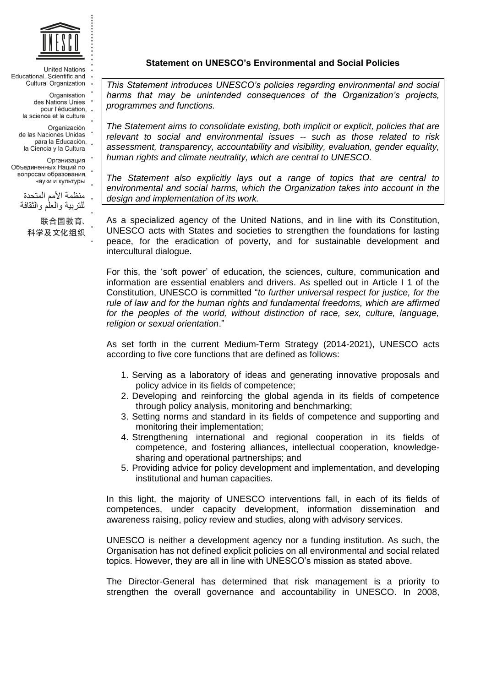

**United Nations** Educational, Scientific and Cultural Organization

> Organisation des Nations Unies pour l'éducation,. la science et la culture

Organización de las Naciones Unidas para la Educación,

la Ciencia y la Cultura Организация Объединенных Наций по вопросам образования, науки и культуры

منظمة الأمم المتحدة للتر ببة والعلم والثقافة

联合国教育、 科学及文化组织 **Statement on UNESCO's Environmental and Social Policies**

*This Statement introduces UNESCO's policies regarding environmental and social*  harms that may be unintended consequences of the Organization's projects, *programmes and functions.* 

*The Statement aims to consolidate existing, both implicit or explicit, policies that are relevant to social and environmental issues -- such as those related to risk assessment, transparency, accountability and visibility, evaluation, gender equality, human rights and climate neutrality, which are central to UNESCO.* 

*The Statement also explicitly lays out a range of topics that are central to environmental and social harms, which the Organization takes into account in the design and implementation of its work.*

As a specialized agency of the United Nations, and in line with its Constitution, UNESCO acts with States and societies to strengthen the foundations for lasting peace, for the eradication of poverty, and for sustainable development and intercultural dialogue.

For this, the 'soft power' of education, the sciences, culture, communication and information are essential enablers and drivers. As spelled out in Article I 1 of the Constitution, UNESCO is committed "*to further universal respect for justice, for the rule of law and for the human rights and fundamental freedoms, which are affirmed*  for the peoples of the world, without distinction of race, sex, culture, language, *religion or sexual orientation*."

As set forth in the current Medium-Term Strategy (2014-2021), UNESCO acts according to five core functions that are defined as follows:

- 1. Serving as a laboratory of ideas and generating innovative proposals and policy advice in its fields of competence;
- 2. Developing and reinforcing the global agenda in its fields of competence through policy analysis, monitoring and benchmarking;
- 3. Setting norms and standard in its fields of competence and supporting and monitoring their implementation;
- 4. Strengthening international and regional cooperation in its fields of competence, and fostering alliances, intellectual cooperation, knowledgesharing and operational partnerships; and
- 5. Providing advice for policy development and implementation, and developing institutional and human capacities.

In this light, the majority of UNESCO interventions fall, in each of its fields of competences, under capacity development, information dissemination and awareness raising, policy review and studies, along with advisory services.

UNESCO is neither a development agency nor a funding institution. As such, the Organisation has not defined explicit policies on all environmental and social related topics. However, they are all in line with UNESCO's mission as stated above.

The Director-General has determined that risk management is a priority to strengthen the overall governance and accountability in UNESCO. In 2008,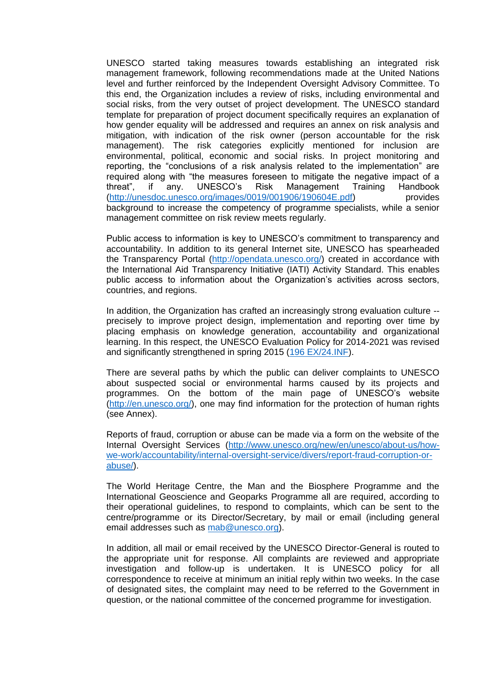UNESCO started taking measures towards establishing an integrated risk management framework, following recommendations made at the United Nations level and further reinforced by the Independent Oversight Advisory Committee. To this end, the Organization includes a review of risks, including environmental and social risks, from the very outset of project development. The UNESCO standard template for preparation of project document specifically requires an explanation of how gender equality will be addressed and requires an annex on risk analysis and mitigation, with indication of the risk owner (person accountable for the risk management). The risk categories explicitly mentioned for inclusion are environmental, political, economic and social risks. In project monitoring and reporting, the "conclusions of a risk analysis related to the implementation" are required along with "the measures foreseen to mitigate the negative impact of a threat", if any. UNESCO's Risk Management Training Handbook [\(http://unesdoc.unesco.org/images/0019/001906/190604E.pdf\)](http://unesdoc.unesco.org/images/0019/001906/190604E.pdf) provides background to increase the competency of programme specialists, while a senior management committee on risk review meets regularly.

Public access to information is key to UNESCO's commitment to transparency and accountability. In addition to its general Internet site, UNESCO has spearheaded the Transparency Portal [\(http://opendata.unesco.org/\)](http://opendata.unesco.org/) created in accordance with the International Aid Transparency Initiative (IATI) Activity Standard. This enables public access to information about the Organization's activities across sectors, countries, and regions.

In addition, the Organization has crafted an increasingly strong evaluation culture - precisely to improve project design, implementation and reporting over time by placing emphasis on knowledge generation, accountability and organizational learning. In this respect, the UNESCO Evaluation Policy for 2014-2021 was revised and significantly strengthened in spring 2015 [\(196 EX/24.INF\)](http://unesdoc.unesco.org/images/0023/002322/232246e.pdf).

There are several paths by which the public can deliver complaints to UNESCO about suspected social or environmental harms caused by its projects and programmes. On the bottom of the main page of UNESCO's website [\(http://en.unesco.org/\)](http://en.unesco.org/), one may find information for the protection of human rights (see Annex).

Reports of fraud, corruption or abuse can be made via a form on the website of the Internal Oversight Services [\(http://www.unesco.org/new/en/unesco/about-us/how](http://www.unesco.org/new/en/unesco/about-us/how-we-work/accountability/internal-oversight-service/divers/report-fraud-corruption-or-abuse/)[we-work/accountability/internal-oversight-service/divers/report-fraud-corruption-or](http://www.unesco.org/new/en/unesco/about-us/how-we-work/accountability/internal-oversight-service/divers/report-fraud-corruption-or-abuse/)[abuse/\)](http://www.unesco.org/new/en/unesco/about-us/how-we-work/accountability/internal-oversight-service/divers/report-fraud-corruption-or-abuse/).

The World Heritage Centre, the Man and the Biosphere Programme and the International Geoscience and Geoparks Programme all are required, according to their operational guidelines, to respond to complaints, which can be sent to the centre/programme or its Director/Secretary, by mail or email (including general email addresses such as [mab@unesco.org\)](mailto:mab@unesco.org).

In addition, all mail or email received by the UNESCO Director-General is routed to the appropriate unit for response. All complaints are reviewed and appropriate investigation and follow-up is undertaken. It is UNESCO policy for all correspondence to receive at minimum an initial reply within two weeks. In the case of designated sites, the complaint may need to be referred to the Government in question, or the national committee of the concerned programme for investigation.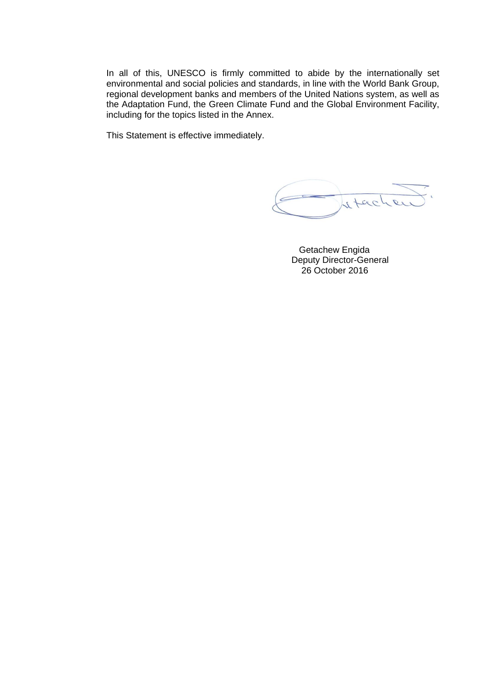In all of this, UNESCO is firmly committed to abide by the internationally set environmental and social policies and standards, in line with the World Bank Group, regional development banks and members of the United Nations system, as well as the Adaptation Fund, the Green Climate Fund and the Global Environment Facility, including for the topics listed in the Annex.

This Statement is effective immediately.

there

 Getachew Engida Deputy Director-General 26 October 2016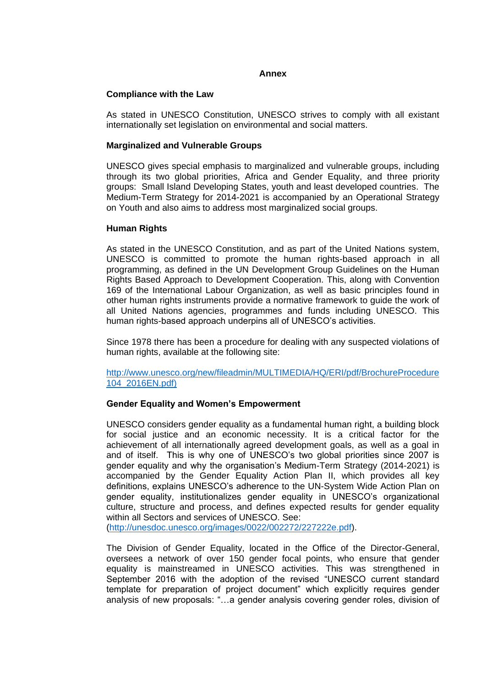### **Annex**

### **Compliance with the Law**

As stated in UNESCO Constitution, UNESCO strives to comply with all existant internationally set legislation on environmental and social matters.

### **Marginalized and Vulnerable Groups**

UNESCO gives special emphasis to marginalized and vulnerable groups, including through its two global priorities, Africa and Gender Equality, and three priority groups: Small Island Developing States, youth and least developed countries. The Medium-Term Strategy for 2014-2021 is accompanied by an Operational Strategy on Youth and also aims to address most marginalized social groups.

#### **Human Rights**

As stated in the UNESCO Constitution, and as part of the United Nations system, UNESCO is committed to promote the human rights-based approach in all programming, as defined in the UN Development Group Guidelines on the Human Rights Based Approach to Development Cooperation. This, along with Convention 169 of the International Labour Organization, as well as basic principles found in other human rights instruments provide a normative framework to guide the work of all United Nations agencies, programmes and funds including UNESCO. This human rights-based approach underpins all of UNESCO's activities.

Since 1978 there has been a procedure for dealing with any suspected violations of human rights, available at the following site:

[http://www.unesco.org/new/fileadmin/MULTIMEDIA/HQ/ERI/pdf/BrochureProcedure](http://www.unesco.org/new/fileadmin/MULTIMEDIA/HQ/ERI/pdf/BrochureProcedure104_2016EN.pdf) [104\\_2016EN.pdf\)](http://www.unesco.org/new/fileadmin/MULTIMEDIA/HQ/ERI/pdf/BrochureProcedure104_2016EN.pdf)

### **Gender Equality and Women's Empowerment**

UNESCO considers gender equality as a fundamental human right, a building block for social justice and an economic necessity. It is a critical factor for the achievement of all internationally agreed development goals, as well as a goal in and of itself. This is why one of UNESCO's two global priorities since 2007 is gender equality and why the organisation's Medium-Term Strategy (2014-2021) is accompanied by the Gender Equality Action Plan II, which provides all key definitions, explains UNESCO's adherence to the UN-System Wide Action Plan on gender equality, institutionalizes gender equality in UNESCO's organizational culture, structure and process, and defines expected results for gender equality within all Sectors and services of UNESCO. See:

[\(http://unesdoc.unesco.org/images/0022/002272/227222e.pdf\)](http://unesdoc.unesco.org/images/0022/002272/227222e.pdf).

The Division of Gender Equality, located in the Office of the Director-General, oversees a network of over 150 gender focal points, who ensure that gender equality is mainstreamed in UNESCO activities. This was strengthened in September 2016 with the adoption of the revised "UNESCO current standard template for preparation of project document" which explicitly requires gender analysis of new proposals: "…a gender analysis covering gender roles, division of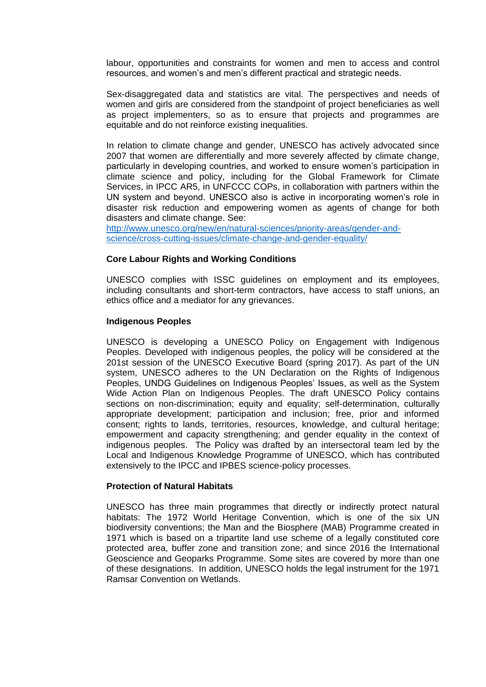labour, opportunities and constraints for women and men to access and control resources, and women's and men's different practical and strategic needs.

Sex-disaggregated data and statistics are vital. The perspectives and needs of women and girls are considered from the standpoint of project beneficiaries as well as project implementers, so as to ensure that projects and programmes are equitable and do not reinforce existing inequalities.

In relation to climate change and gender, UNESCO has actively advocated since 2007 that women are differentially and more severely affected by climate change, particularly in developing countries, and worked to ensure women's participation in climate science and policy, including for the Global Framework for Climate Services, in IPCC AR5, in UNFCCC COPs, in collaboration with partners within the UN system and beyond. UNESCO also is active in incorporating women's role in disaster risk reduction and empowering women as agents of change for both disasters and climate change. See:

[http://www.unesco.org/new/en/natural-sciences/priority-areas/gender-and](http://www.unesco.org/new/en/natural-sciences/priority-areas/gender-and-science/cross-cutting-issues/climate-change-and-gender-equality/)[science/cross-cutting-issues/climate-change-and-gender-equality/](http://www.unesco.org/new/en/natural-sciences/priority-areas/gender-and-science/cross-cutting-issues/climate-change-and-gender-equality/)

### **Core Labour Rights and Working Conditions**

UNESCO complies with ISSC guidelines on employment and its employees, including consultants and short-term contractors, have access to staff unions, an ethics office and a mediator for any grievances.

# **Indigenous Peoples**

UNESCO is developing a UNESCO Policy on Engagement with Indigenous Peoples. Developed with indigenous peoples, the policy will be considered at the 201st session of the UNESCO Executive Board (spring 2017). As part of the UN system, UNESCO adheres to [the UN Declaration on the Rights of Indigenous](http://www.un.org/esa/socdev/unpfii/documents/DRIPS_en.pdf)  [Peoples,](http://www.un.org/esa/socdev/unpfii/documents/DRIPS_en.pdf) [UNDG Guidelines on Indigenous Peoples' Issues,](http://www.ohchr.org/Documents/Issues/IPeoples/UNDGGuidelines.pdf) as well as the [System](http://www.un.org/en/events/indigenousday/SWAP_Indigenous_Peoples_WEB.pdf)  [Wide Action Plan on Indigenous Peoples.](http://www.un.org/en/events/indigenousday/SWAP_Indigenous_Peoples_WEB.pdf) The draft UNESCO Policy contains sections on non-discrimination; equity and equality; self-determination, culturally appropriate development; participation and inclusion; free, prior and informed consent; rights to lands, territories, resources, knowledge, and cultural heritage; empowerment and capacity strengthening; and gender equality in the context of indigenous peoples. The Policy was drafted by an intersectoral team led by the Local and Indigenous Knowledge Programme of UNESCO, which has contributed extensively to the IPCC and IPBES science-policy processes.

### **Protection of Natural Habitats**

UNESCO has three main programmes that directly or indirectly protect natural habitats: The 1972 World Heritage Convention, which is one of the six UN biodiversity conventions; the Man and the Biosphere (MAB) Programme created in 1971 which is based on a tripartite land use scheme of a legally constituted core protected area, buffer zone and transition zone; and since 2016 the International Geoscience and Geoparks Programme. Some sites are covered by more than one of these designations. In addition, UNESCO holds the legal instrument for the 1971 Ramsar Convention on Wetlands.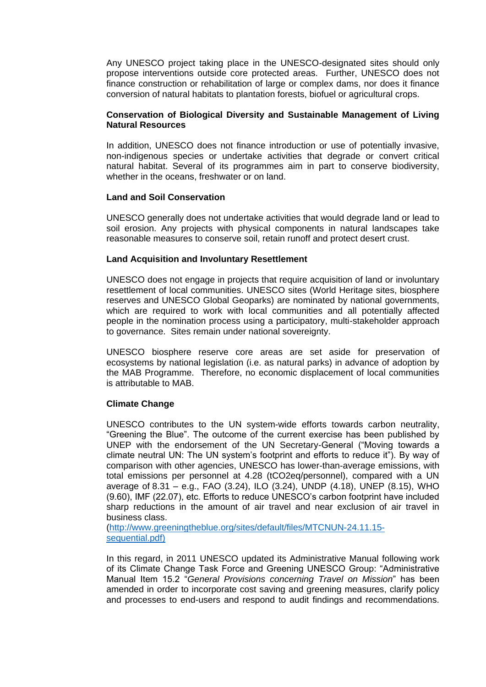Any UNESCO project taking place in the UNESCO-designated sites should only propose interventions outside core protected areas. Further, UNESCO does not finance construction or rehabilitation of large or complex dams, nor does it finance conversion of natural habitats to plantation forests, biofuel or agricultural crops.

# **Conservation of Biological Diversity and Sustainable Management of Living Natural Resources**

In addition, UNESCO does not finance introduction or use of potentially invasive, non-indigenous species or undertake activities that degrade or convert critical natural habitat. Several of its programmes aim in part to conserve biodiversity, whether in the oceans, freshwater or on land.

# **Land and Soil Conservation**

UNESCO generally does not undertake activities that would degrade land or lead to soil erosion. Any projects with physical components in natural landscapes take reasonable measures to conserve soil, retain runoff and protect desert crust.

# **Land Acquisition and Involuntary Resettlement**

UNESCO does not engage in projects that require acquisition of land or involuntary resettlement of local communities. UNESCO sites (World Heritage sites, biosphere reserves and UNESCO Global Geoparks) are nominated by national governments, which are required to work with local communities and all potentially affected people in the nomination process using a participatory, multi-stakeholder approach to governance. Sites remain under national sovereignty.

UNESCO biosphere reserve core areas are set aside for preservation of ecosystems by national legislation (i.e. as natural parks) in advance of adoption by the MAB Programme. Therefore, no economic displacement of local communities is attributable to MAB.

# **Climate Change**

UNESCO contributes to the UN system-wide efforts towards carbon neutrality, "Greening the Blue". The outcome of the current exercise has been published by UNEP with the endorsement of the UN Secretary-General ("Moving towards a climate neutral UN: The UN system's footprint and efforts to reduce it"). By way of comparison with other agencies, UNESCO has lower-than-average emissions, with total emissions per personnel at 4.28 (tCO2eq/personnel), compared with a UN average of 8.31 – e.g., FAO (3.24), ILO (3.24), UNDP (4.18), UNEP (8.15), WHO (9.60), IMF (22.07), etc. Efforts to reduce UNESCO's carbon footprint have included sharp reductions in the amount of air travel and near exclusion of air travel in business class.

[\(http://www.greeningtheblue.org/sites/default/files/MTCNUN-24.11.15](http://www.greeningtheblue.org/sites/default/files/MTCNUN-24.11.15-sequential.pdf) [sequential.pdf\)](http://www.greeningtheblue.org/sites/default/files/MTCNUN-24.11.15-sequential.pdf)

In this regard, in 2011 UNESCO updated its Administrative Manual following work of its Climate Change Task Force and Greening UNESCO Group: "Administrative Manual Item 15.2 "*General Provisions concerning Travel on Mission*" has been amended in order to incorporate cost saving and greening measures, clarify policy and processes to end-users and respond to audit findings and recommendations.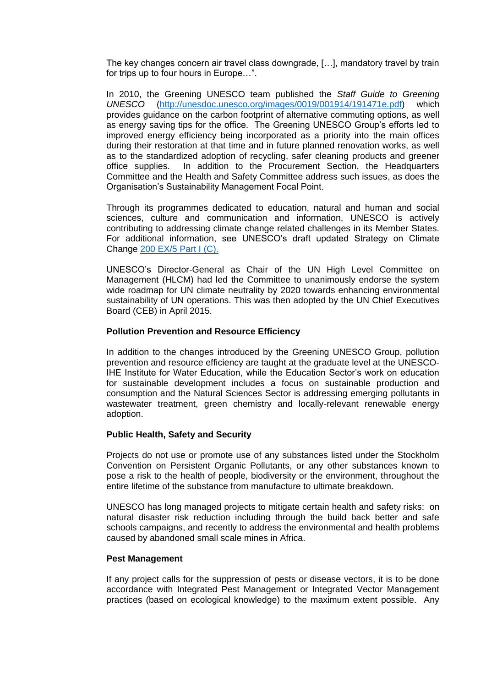The key changes concern air travel class downgrade, […], mandatory travel by train for trips up to four hours in Europe…".

In 2010, the Greening UNESCO team published the *Staff Guide to Greening UNESCO* [\(http://unesdoc.unesco.org/images/0019/001914/191471e.pdf\)](http://unesdoc.unesco.org/images/0019/001914/191471e.pdf) which provides guidance on the carbon footprint of alternative commuting options, as well as energy saving tips for the office. The Greening UNESCO Group's efforts led to improved energy efficiency being incorporated as a priority into the main offices during their restoration at that time and in future planned renovation works, as well as to the standardized adoption of recycling, safer cleaning products and greener office supplies. In addition to the Procurement Section, the Headquarters Committee and the Health and Safety Committee address such issues, as does the Organisation's Sustainability Management Focal Point.

Through its programmes dedicated to education, natural and human and social sciences, culture and communication and information, UNESCO is actively contributing to addressing climate change related challenges in its Member States. For additional information, see UNESCO's draft updated Strategy on Climate Change [200 EX/5 Part I \(C\).](http://unesdoc.unesco.org/images/0024/002457/245703e.pdf)

UNESCO's Director-General as Chair of the UN High Level Committee on Management (HLCM) had led the Committee to unanimously endorse the system wide roadmap for UN climate neutrality by 2020 towards enhancing environmental sustainability of UN operations. This was then adopted by the UN Chief Executives Board (CEB) in April 2015.

# **Pollution Prevention and Resource Efficiency**

In addition to the changes introduced by the Greening UNESCO Group, pollution prevention and resource efficiency are taught at the graduate level at the UNESCO-IHE Institute for Water Education, while the Education Sector's work on education for sustainable development includes a focus on sustainable production and consumption and the Natural Sciences Sector is addressing emerging pollutants in wastewater treatment, green chemistry and locally-relevant renewable energy adoption.

### **Public Health, Safety and Security**

Projects do not use or promote use of any substances listed under the Stockholm Convention on Persistent Organic Pollutants, or any other substances known to pose a risk to the health of people, biodiversity or the environment, throughout the entire lifetime of the substance from manufacture to ultimate breakdown.

UNESCO has long managed projects to mitigate certain health and safety risks: on natural disaster risk reduction including through the build back better and safe schools campaigns, and recently to address the environmental and health problems caused by abandoned small scale mines in Africa.

### **Pest Management**

If any project calls for the suppression of pests or disease vectors, it is to be done accordance with Integrated Pest Management or Integrated Vector Management practices (based on ecological knowledge) to the maximum extent possible. Any